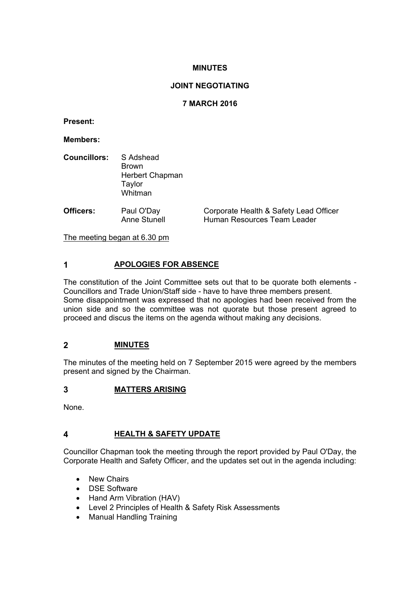## **MINUTES**

## **JOINT NEGOTIATING**

## **7 MARCH 2016**

**Present:**

**Members:**

| <b>Councillors:</b> S Adshead | <b>Brown</b><br>Herbert Chapman<br>Taylor |          |
|-------------------------------|-------------------------------------------|----------|
|                               | Whitman                                   |          |
| Officare:                     | ∨יפ∩'∩ انتפ                               | Cornorat |

**Officers:** Paul O'Day Corporate Health & Safety Lead Officer<br>Anne Stunell Human Resources Team Leader Human Resources Team Leader

The meeting began at 6.30 pm

# **1 APOLOGIES FOR ABSENCE**

The constitution of the Joint Committee sets out that to be quorate both elements - Councillors and Trade Union/Staff side - have to have three members present. Some disappointment was expressed that no apologies had been received from the union side and so the committee was not quorate but those present agreed to proceed and discus the items on the agenda without making any decisions.

## **2 MINUTES**

The minutes of the meeting held on 7 September 2015 were agreed by the members present and signed by the Chairman.

## **3 MATTERS ARISING**

None.

# **4 HEALTH & SAFETY UPDATE**

Councillor Chapman took the meeting through the report provided by Paul O'Day, the Corporate Health and Safety Officer, and the updates set out in the agenda including:

- New Chairs
- DSE Software
- Hand Arm Vibration (HAV)
- Level 2 Principles of Health & Safety Risk Assessments
- Manual Handling Training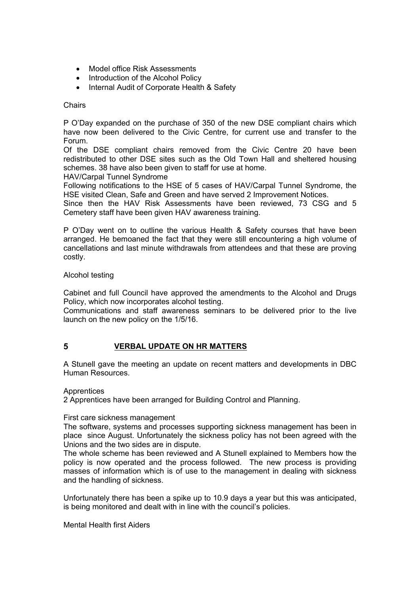- Model office Risk Assessments
- Introduction of the Alcohol Policy
- Internal Audit of Corporate Health & Safety

#### **Chairs**

P O'Day expanded on the purchase of 350 of the new DSE compliant chairs which have now been delivered to the Civic Centre, for current use and transfer to the Forum.

Of the DSE compliant chairs removed from the Civic Centre 20 have been redistributed to other DSE sites such as the Old Town Hall and sheltered housing schemes. 38 have also been given to staff for use at home.

HAV/Carpal Tunnel Syndrome

Following notifications to the HSE of 5 cases of HAV/Carpal Tunnel Syndrome, the HSE visited Clean, Safe and Green and have served 2 Improvement Notices.

Since then the HAV Risk Assessments have been reviewed, 73 CSG and 5 Cemetery staff have been given HAV awareness training.

P O'Day went on to outline the various Health & Safety courses that have been arranged. He bemoaned the fact that they were still encountering a high volume of cancellations and last minute withdrawals from attendees and that these are proving costly.

#### Alcohol testing

Cabinet and full Council have approved the amendments to the Alcohol and Drugs Policy, which now incorporates alcohol testing.

Communications and staff awareness seminars to be delivered prior to the live launch on the new policy on the 1/5/16.

## **5 VERBAL UPDATE ON HR MATTERS**

A Stunell gave the meeting an update on recent matters and developments in DBC Human Resources.

#### **Apprentices**

2 Apprentices have been arranged for Building Control and Planning.

#### First care sickness management

The software, systems and processes supporting sickness management has been in place since August. Unfortunately the sickness policy has not been agreed with the Unions and the two sides are in dispute.

The whole scheme has been reviewed and A Stunell explained to Members how the policy is now operated and the process followed. The new process is providing masses of information which is of use to the management in dealing with sickness and the handling of sickness.

Unfortunately there has been a spike up to 10.9 days a year but this was anticipated, is being monitored and dealt with in line with the council's policies.

Mental Health first Aiders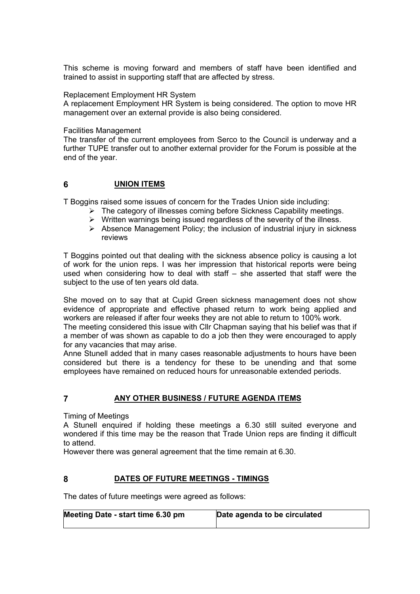This scheme is moving forward and members of staff have been identified and trained to assist in supporting staff that are affected by stress.

#### Replacement Employment HR System

A replacement Employment HR System is being considered. The option to move HR management over an external provide is also being considered.

#### Facilities Management

The transfer of the current employees from Serco to the Council is underway and a further TUPE transfer out to another external provider for the Forum is possible at the end of the year.

#### **6 UNION ITEMS**

T Boggins raised some issues of concern for the Trades Union side including:

- $\triangleright$  The category of illnesses coming before Sickness Capability meetings.
- $\triangleright$  Written warnings being issued regardless of the severity of the illness.
- $\triangleright$  Absence Management Policy; the inclusion of industrial injury in sickness reviews

T Boggins pointed out that dealing with the sickness absence policy is causing a lot of work for the union reps. I was her impression that historical reports were being used when considering how to deal with staff – she asserted that staff were the subject to the use of ten years old data.

She moved on to say that at Cupid Green sickness management does not show evidence of appropriate and effective phased return to work being applied and workers are released if after four weeks they are not able to return to 100% work.

The meeting considered this issue with Cllr Chapman saying that his belief was that if a member of was shown as capable to do a job then they were encouraged to apply for any vacancies that may arise.

Anne Stunell added that in many cases reasonable adjustments to hours have been considered but there is a tendency for these to be unending and that some employees have remained on reduced hours for unreasonable extended periods.

## **7 ANY OTHER BUSINESS / FUTURE AGENDA ITEMS**

Timing of Meetings

A Stunell enquired if holding these meetings a 6.30 still suited everyone and wondered if this time may be the reason that Trade Union reps are finding it difficult to attend.

However there was general agreement that the time remain at 6.30.

## **8 DATES OF FUTURE MEETINGS - TIMINGS**

The dates of future meetings were agreed as follows:

| Meeting Date - start time 6.30 pm | Date agenda to be circulated |
|-----------------------------------|------------------------------|
|                                   |                              |